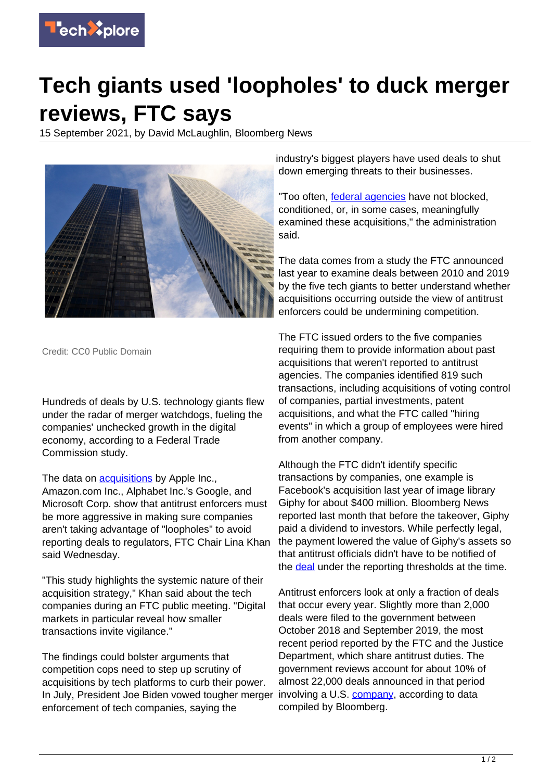

## **Tech giants used 'loopholes' to duck merger reviews, FTC says**

15 September 2021, by David McLaughlin, Bloomberg News



Credit: CC0 Public Domain

Hundreds of deals by U.S. technology giants flew under the radar of merger watchdogs, fueling the companies' unchecked growth in the digital economy, according to a Federal Trade Commission study.

The data on [acquisitions](https://techxplore.com/tags/acquisitions/) by Apple Inc., Amazon.com Inc., Alphabet Inc.'s Google, and Microsoft Corp. show that antitrust enforcers must be more aggressive in making sure companies aren't taking advantage of "loopholes" to avoid reporting deals to regulators, FTC Chair Lina Khan said Wednesday.

"This study highlights the systemic nature of their acquisition strategy," Khan said about the tech companies during an FTC public meeting. "Digital markets in particular reveal how smaller transactions invite vigilance."

The findings could bolster arguments that competition cops need to step up scrutiny of acquisitions by tech platforms to curb their power. In July, President Joe Biden vowed tougher merger enforcement of tech companies, saying the

industry's biggest players have used deals to shut down emerging threats to their businesses.

"Too often, [federal agencies](https://techxplore.com/tags/federal+agencies/) have not blocked, conditioned, or, in some cases, meaningfully examined these acquisitions," the administration said.

The data comes from a study the FTC announced last year to examine deals between 2010 and 2019 by the five tech giants to better understand whether acquisitions occurring outside the view of antitrust enforcers could be undermining competition.

The FTC issued orders to the five companies requiring them to provide information about past acquisitions that weren't reported to antitrust agencies. The companies identified 819 such transactions, including acquisitions of voting control of companies, partial investments, patent acquisitions, and what the FTC called "hiring events" in which a group of employees were hired from another company.

Although the FTC didn't identify specific transactions by companies, one example is Facebook's acquisition last year of image library Giphy for about \$400 million. Bloomberg News reported last month that before the takeover, Giphy paid a dividend to investors. While perfectly legal, the payment lowered the value of Giphy's assets so that antitrust officials didn't have to be notified of the [deal](https://techxplore.com/tags/deal/) under the reporting thresholds at the time.

Antitrust enforcers look at only a fraction of deals that occur every year. Slightly more than 2,000 deals were filed to the government between October 2018 and September 2019, the most recent period reported by the FTC and the Justice Department, which share antitrust duties. The government reviews account for about 10% of almost 22,000 deals announced in that period involving a U.S. [company,](https://techxplore.com/tags/company/) according to data compiled by Bloomberg.